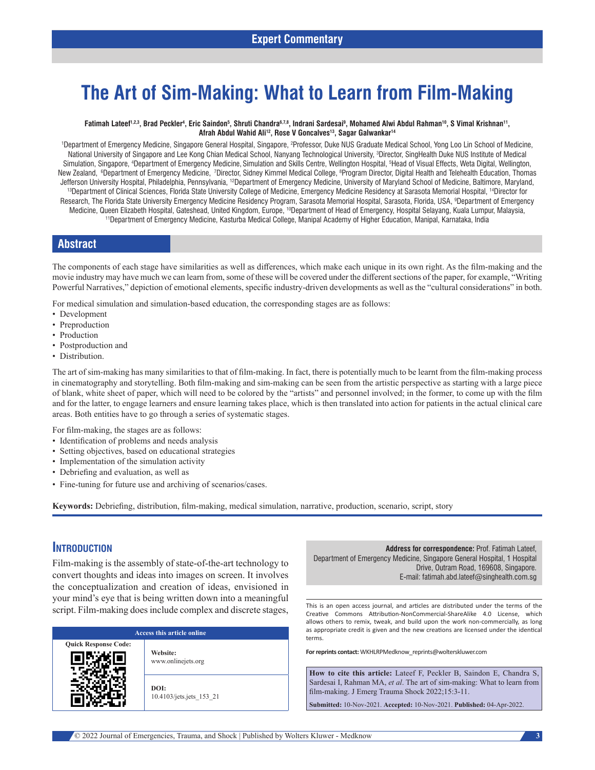### **Expert Commentary**

# **The Art of Sim‑Making: What to Learn from Film‑Making**

#### Fatimah Lateef<sup>1,2,3</sup>, Brad Peckler<sup>4</sup>, Eric Saindon<sup>5</sup>, Shruti Chandra<sup>6,7,8</sup>, Indrani Sardesai<sup>9</sup>, Mohamed Alwi Abdul Rahman<sup>10</sup>, S Vimal Krishnan<sup>11</sup>, Afrah Abdul Wahid Ali<sup>12</sup>, Rose V Goncalves<sup>13</sup>, Sagar Galwankar<sup>14</sup>

'Department of Emergency Medicine, Singapore General Hospital, Singapore, <sup>2</sup>Professor, Duke NUS Graduate Medical School, Yong Loo Lin School of Medicine, National University of Singapore and Lee Kong Chian Medical School, Nanyang Technological University, 3 Director, SingHealth Duke NUS Institute of Medical Simulation, Singapore, 4 Department of Emergency Medicine, Simulation and Skills Centre, Wellington Hospital, 5 Head of Visual Effects, Weta Digital, Wellington, New Zealand, ®Department of Emergency Medicine, 7Director, Sidney Kimmel Medical College, ®Program Director, Digital Health and Telehealth Education, Thomas Jefferson University Hospital, Philadelphia, Pennsylvania, <sup>12</sup>Department of Emergency Medicine, University of Maryland School of Medicine, Baltimore, Maryland,<br><sup>13</sup>Department of Clinical Sciences, Florida State University Research, The Florida State University Emergency Medicine Residency Program, Sarasota Memorial Hospital, Sarasota, Florida, USA, 9 Department of Emergency Medicine, Queen Elizabeth Hospital, Gateshead, United Kingdom, Europe, <sup>10</sup>Department of Head of Emergency, Hospital Selayang, Kuala Lumpur, Malaysia,<br><sup>11</sup>Department of Emergency Medicine, Kasturba Medical College, Manipal

### **Abstract**

The components of each stage have similarities as well as differences, which make each unique in its own right. As the film-making and the movie industry may have much we can learn from, some of these will be covered under the different sections of the paper, for example, "Writing Powerful Narratives," depiction of emotional elements, specific industry‑driven developments as well as the "cultural considerations" in both.

For medical simulation and simulation-based education, the corresponding stages are as follows:

- Development
- Preproduction
- Production
- Postproduction and
- Distribution.

The art of sim-making has many similarities to that of film-making. In fact, there is potentially much to be learnt from the film-making process in cinematography and storytelling. Both film–making and sim–making can be seen from the artistic perspective as starting with a large piece of blank, white sheet of paper, which will need to be colored by the "artists" and personnel involved; in the former, to come up with the film and for the latter, to engage learners and ensure learning takes place, which is then translated into action for patients in the actual clinical care areas. Both entities have to go through a series of systematic stages.

For film-making, the stages are as follows:

- Identification of problems and needs analysis
- Setting objectives, based on educational strategies
- Implementation of the simulation activity
- Debriefing and evaluation, as well as
- Fine-tuning for future use and archiving of scenarios/cases.

**Keywords:** Debriefing, distribution, film‑making, medical simulation, narrative, production, scenario, script, story

### **Introduction**

Film-making is the assembly of state-of-the-art technology to convert thoughts and ideas into images on screen. It involves the conceptualization and creation of ideas, envisioned in your mind's eye that is being written down into a meaningful script. Film-making does include complex and discrete stages,

| Access this article online  |                                  |
|-----------------------------|----------------------------------|
| <b>Quick Response Code:</b> | Website:<br>www.onlinejets.org   |
|                             | DOI:<br>10.4103/jets.jets 153 21 |

**Address for correspondence:** Prof. Fatimah Lateef, Department of Emergency Medicine, Singapore General Hospital, 1 Hospital Drive, Outram Road, 169608, Singapore. E‑mail: fatimah.abd.lateef@singhealth.com.sg

This is an open access journal, and articles are distributed under the terms of the Creative Commons Attribution‑NonCommercial‑ShareAlike 4.0 License, which allows others to remix, tweak, and build upon the work non‑commercially, as long as appropriate credit is given and the new creations are licensed under the identical terms.

**For reprints contact:** WKHLRPMedknow\_reprints@wolterskluwer.com

**How to cite this article:** Lateef F, Peckler B, Saindon E, Chandra S, Sardesai I, Rahman MA, *et al*. The art of sim-making: What to learn from film‑making. J Emerg Trauma Shock 2022;15:3-11.

**Submitted:** 10‑Nov‑2021. **Accepted:** 10‑Nov‑2021. **Published:** 04-Apr-2022.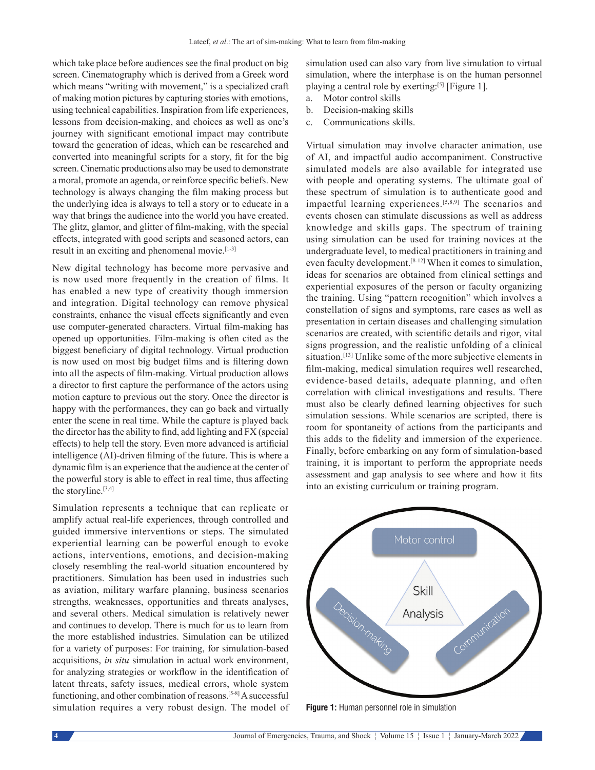which take place before audiences see the final product on big screen. Cinematography which is derived from a Greek word which means "writing with movement," is a specialized craft of making motion pictures by capturing stories with emotions, using technical capabilities. Inspiration from life experiences, lessons from decision-making, and choices as well as one's journey with significant emotional impact may contribute toward the generation of ideas, which can be researched and converted into meaningful scripts for a story, fit for the big screen. Cinematic productions also may be used to demonstrate a moral, promote an agenda, or reinforce specific beliefs. New technology is always changing the film making process but the underlying idea is always to tell a story or to educate in a way that brings the audience into the world you have created. The glitz, glamor, and glitter of film-making, with the special effects, integrated with good scripts and seasoned actors, can result in an exciting and phenomenal movie.[1-3]

New digital technology has become more pervasive and is now used more frequently in the creation of films. It has enabled a new type of creativity though immersion and integration. Digital technology can remove physical constraints, enhance the visual effects significantly and even use computer-generated characters. Virtual film-making has opened up opportunities. Film-making is often cited as the biggest beneficiary of digital technology. Virtual production is now used on most big budget films and is filtering down into all the aspects of film‑making. Virtual production allows a director to first capture the performance of the actors using motion capture to previous out the story. Once the director is happy with the performances, they can go back and virtually enter the scene in real time. While the capture is played back the director has the ability to find, add lighting and FX (special effects) to help tell the story. Even more advanced is artificial intelligence (AI)-driven filming of the future. This is where a dynamic film is an experience that the audience at the center of the powerful story is able to effect in real time, thus affecting the storyline.<sup>[3,4]</sup>

Simulation represents a technique that can replicate or amplify actual real-life experiences, through controlled and guided immersive interventions or steps. The simulated experiential learning can be powerful enough to evoke actions, interventions, emotions, and decision-making closely resembling the real-world situation encountered by practitioners. Simulation has been used in industries such as aviation, military warfare planning, business scenarios strengths, weaknesses, opportunities and threats analyses, and several others. Medical simulation is relatively newer and continues to develop. There is much for us to learn from the more established industries. Simulation can be utilized for a variety of purposes: For training, for simulation-based acquisitions, *in situ* simulation in actual work environment, for analyzing strategies or workflow in the identification of latent threats, safety issues, medical errors, whole system functioning, and other combination of reasons.<sup>[5-8]</sup> A successful simulation requires a very robust design. The model of simulation used can also vary from live simulation to virtual simulation, where the interphase is on the human personnel playing a central role by exerting:<sup>[5]</sup> [Figure 1].

- a. Motor control skills
- b. Decision-making skills
- c. Communications skills.

Virtual simulation may involve character animation, use of AI, and impactful audio accompaniment. Constructive simulated models are also available for integrated use with people and operating systems. The ultimate goal of these spectrum of simulation is to authenticate good and impactful learning experiences.[5,8,9] The scenarios and events chosen can stimulate discussions as well as address knowledge and skills gaps. The spectrum of training using simulation can be used for training novices at the undergraduate level, to medical practitioners in training and even faculty development.[8-12] When it comes to simulation, ideas for scenarios are obtained from clinical settings and experiential exposures of the person or faculty organizing the training. Using "pattern recognition" which involves a constellation of signs and symptoms, rare cases as well as presentation in certain diseases and challenging simulation scenarios are created, with scientific details and rigor, vital signs progression, and the realistic unfolding of a clinical situation.<sup>[13]</sup> Unlike some of the more subjective elements in film-making, medical simulation requires well researched, evidence-based details, adequate planning, and often correlation with clinical investigations and results. There must also be clearly defined learning objectives for such simulation sessions. While scenarios are scripted, there is room for spontaneity of actions from the participants and this adds to the fidelity and immersion of the experience. Finally, before embarking on any form of simulation-based training, it is important to perform the appropriate needs assessment and gap analysis to see where and how it fits into an existing curriculum or training program.



**Figure 1:** Human personnel role in simulation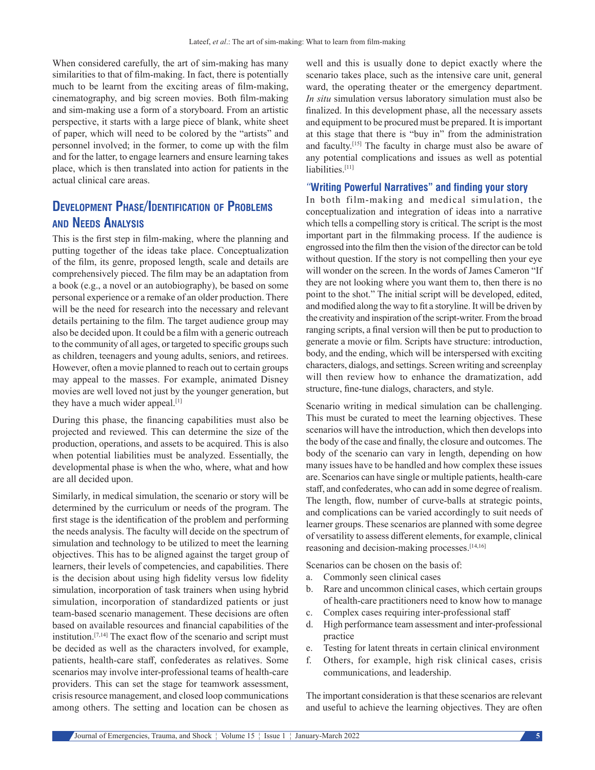When considered carefully, the art of sim-making has many similarities to that of film-making. In fact, there is potentially much to be learnt from the exciting areas of film-making, cinematography, and big screen movies. Both film‑making and sim-making use a form of a storyboard. From an artistic perspective, it starts with a large piece of blank, white sheet of paper, which will need to be colored by the "artists" and personnel involved; in the former, to come up with the film and for the latter, to engage learners and ensure learning takes place, which is then translated into action for patients in the actual clinical care areas.

# **Development Phase/Identification of Problems and Needs Analysis**

This is the first step in film-making, where the planning and putting together of the ideas take place. Conceptualization of the film, its genre, proposed length, scale and details are comprehensively pieced. The film may be an adaptation from a book (e.g., a novel or an autobiography), be based on some personal experience or a remake of an older production. There will be the need for research into the necessary and relevant details pertaining to the film. The target audience group may also be decided upon. It could be a film with a generic outreach to the community of all ages, or targeted to specific groups such as children, teenagers and young adults, seniors, and retirees. However, often a movie planned to reach out to certain groups may appeal to the masses. For example, animated Disney movies are well loved not just by the younger generation, but they have a much wider appeal.<sup>[1]</sup>

During this phase, the financing capabilities must also be projected and reviewed. This can determine the size of the production, operations, and assets to be acquired. This is also when potential liabilities must be analyzed. Essentially, the developmental phase is when the who, where, what and how are all decided upon.

Similarly, in medical simulation, the scenario or story will be determined by the curriculum or needs of the program. The first stage is the identification of the problem and performing the needs analysis. The faculty will decide on the spectrum of simulation and technology to be utilized to meet the learning objectives. This has to be aligned against the target group of learners, their levels of competencies, and capabilities. There is the decision about using high fidelity versus low fidelity simulation, incorporation of task trainers when using hybrid simulation, incorporation of standardized patients or just team-based scenario management. These decisions are often based on available resources and financial capabilities of the institution.[7,14] The exact flow of the scenario and script must be decided as well as the characters involved, for example, patients, health-care staff, confederates as relatives. Some scenarios may involve inter-professional teams of health-care providers. This can set the stage for teamwork assessment, crisis resource management, and closed loop communications among others. The setting and location can be chosen as

well and this is usually done to depict exactly where the scenario takes place, such as the intensive care unit, general ward, the operating theater or the emergency department. *In situ* simulation versus laboratory simulation must also be finalized. In this development phase, all the necessary assets and equipment to be procured must be prepared. It is important at this stage that there is "buy in" from the administration and faculty.[15] The faculty in charge must also be aware of any potential complications and issues as well as potential liabilities.[11]

### *"***Writing Powerful Narratives" and finding your story**

In both film-making and medical simulation, the conceptualization and integration of ideas into a narrative which tells a compelling story is critical. The script is the most important part in the filmmaking process. If the audience is engrossed into the film then the vision of the director can be told without question. If the story is not compelling then your eye will wonder on the screen. In the words of James Cameron "If they are not looking where you want them to, then there is no point to the shot." The initial script will be developed, edited, and modified along the way to fit a storyline. It will be driven by the creativity and inspiration of the script-writer. From the broad ranging scripts, a final version will then be put to production to generate a movie or film. Scripts have structure: introduction, body, and the ending, which will be interspersed with exciting characters, dialogs, and settings. Screen writing and screenplay will then review how to enhance the dramatization, add structure, fine-tune dialogs, characters, and style.

Scenario writing in medical simulation can be challenging. This must be curated to meet the learning objectives. These scenarios will have the introduction, which then develops into the body of the case and finally, the closure and outcomes. The body of the scenario can vary in length, depending on how many issues have to be handled and how complex these issues are. Scenarios can have single or multiple patients, health-care staff, and confederates, who can add in some degree of realism. The length, flow, number of curve-balls at strategic points, and complications can be varied accordingly to suit needs of learner groups. These scenarios are planned with some degree of versatility to assess different elements, for example, clinical reasoning and decision-making processes.[14,16]

Scenarios can be chosen on the basis of:

- a. Commonly seen clinical cases
- b. Rare and uncommon clinical cases, which certain groups of health-care practitioners need to know how to manage
- c. Complex cases requiring inter-professional staff
- d. High performance team assessment and inter-professional practice
- e. Testing for latent threats in certain clinical environment
- f. Others, for example, high risk clinical cases, crisis communications, and leadership.

The important consideration is that these scenarios are relevant and useful to achieve the learning objectives. They are often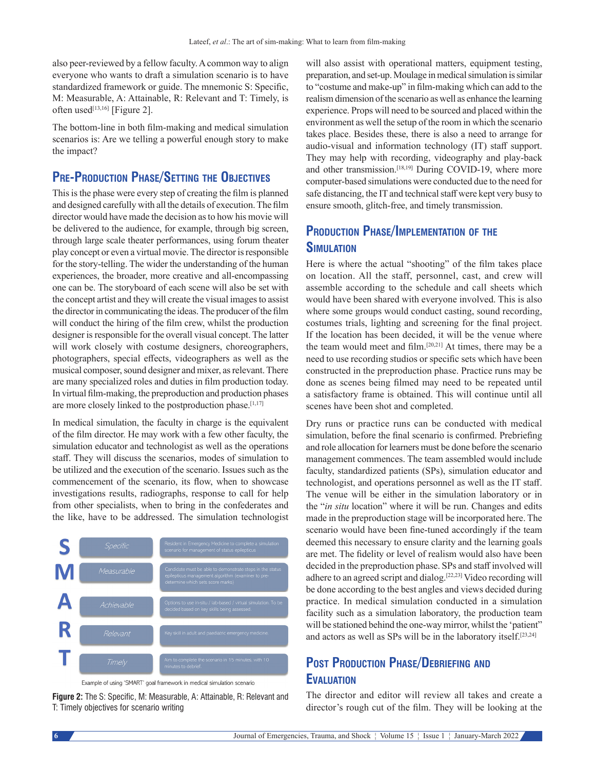also peer-reviewed by a fellow faculty. Acommon way to align everyone who wants to draft a simulation scenario is to have standardized framework or guide. The mnemonic S: Specific, M: Measurable, A: Attainable, R: Relevant and T: Timely, is often used<sup>[13,16]</sup> [Figure 2].

The bottom-line in both film-making and medical simulation scenarios is: Are we telling a powerful enough story to make the impact?

# **Pre‑Production Phase/Setting the Objectives**

This is the phase were every step of creating the film is planned and designed carefully with all the details of execution.The film director would have made the decision as to how his movie will be delivered to the audience, for example, through big screen, through large scale theater performances, using forum theater play concept or even a virtual movie. The director is responsible for the story-telling. The wider the understanding of the human experiences, the broader, more creative and all-encompassing one can be. The storyboard of each scene will also be set with the concept artist and they will create the visual images to assist the director in communicating the ideas. The producer of the film will conduct the hiring of the film crew, whilst the production designer is responsible for the overall visual concept. The latter will work closely with costume designers, choreographers, photographers, special effects, videographers as well as the musical composer, sound designer and mixer, as relevant. There are many specialized roles and duties in film production today. In virtual film‑making, the preproduction and production phases are more closely linked to the postproduction phase.<sup>[1,17]</sup>

In medical simulation, the faculty in charge is the equivalent of the film director. He may work with a few other faculty, the simulation educator and technologist as well as the operations staff. They will discuss the scenarios, modes of simulation to be utilized and the execution of the scenario. Issues such as the commencement of the scenario, its flow, when to showcase investigations results, radiographs, response to call for help from other specialists, when to bring in the confederates and the like, have to be addressed. The simulation technologist



Example of using 'SMART' goal framework in medical simulation scenario

**Figure 2:** The S: Specific, M: Measurable, A: Attainable, R: Relevant and T: Timely objectives for scenario writing

will also assist with operational matters, equipment testing, preparation, and set-up. Moulage in medical simulation is similar to "costume and make‑up" in film‑making which can add to the realism dimension of the scenario as well as enhance the learning experience. Props will need to be sourced and placed within the environment as well the setup of the room in which the scenario takes place. Besides these, there is also a need to arrange for audio‑visual and information technology (IT) staff support. They may help with recording, videography and play-back and other transmission.<sup>[18,19]</sup> During COVID-19, where more computer-based simulations were conducted due to the need for safe distancing, the IT and technical staff were kept very busy to ensure smooth, glitch-free, and timely transmission.

# **Production Phase/Implementation of the Simulation**

Here is where the actual "shooting" of the film takes place on location. All the staff, personnel, cast, and crew will assemble according to the schedule and call sheets which would have been shared with everyone involved. This is also where some groups would conduct casting, sound recording, costumes trials, lighting and screening for the final project. If the location has been decided, it will be the venue where the team would meet and film.<sup>[20,21]</sup> At times, there may be a need to use recording studios or specific sets which have been constructed in the preproduction phase. Practice runs may be done as scenes being filmed may need to be repeated until a satisfactory frame is obtained. This will continue until all scenes have been shot and completed.

Dry runs or practice runs can be conducted with medical simulation, before the final scenario is confirmed. Prebriefing and role allocation for learners must be done before the scenario management commences. The team assembled would include faculty, standardized patients (SPs), simulation educator and technologist, and operations personnel as well as the IT staff. The venue will be either in the simulation laboratory or in the "*in situ* location" where it will be run. Changes and edits made in the preproduction stage will be incorporated here. The scenario would have been fine-tuned accordingly if the team deemed this necessary to ensure clarity and the learning goals are met. The fidelity or level of realism would also have been decided in the preproduction phase. SPs and staff involved will adhere to an agreed script and dialog.[22,23] Video recording will be done according to the best angles and views decided during practice. In medical simulation conducted in a simulation facility such as a simulation laboratory, the production team will be stationed behind the one-way mirror, whilst the 'patient" and actors as well as SPs will be in the laboratory itself.[23,24]

# **Post Production Phase/Debriefing and Evaluation**

The director and editor will review all takes and create a director's rough cut of the film. They will be looking at the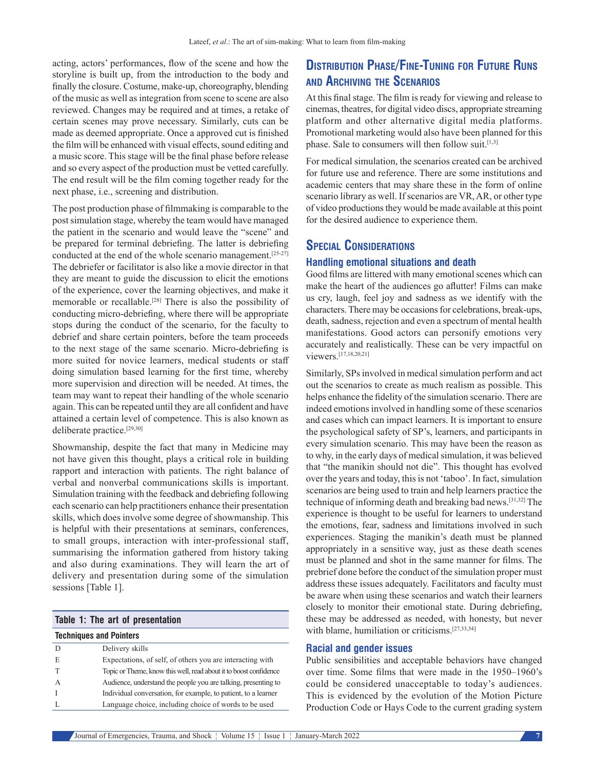acting, actors' performances, flow of the scene and how the storyline is built up, from the introduction to the body and finally the closure. Costume, make-up, choreography, blending of the music as well as integration from scene to scene are also reviewed. Changes may be required and at times, a retake of certain scenes may prove necessary. Similarly, cuts can be made as deemed appropriate. Once a approved cut is finished the film will be enhanced with visual effects, sound editing and a music score. This stage will be the final phase before release and so every aspect of the production must be vetted carefully. The end result will be the film coming together ready for the next phase, i.e., screening and distribution.

The post production phase of filmmaking is comparable to the post simulation stage, whereby the team would have managed the patient in the scenario and would leave the "scene" and be prepared for terminal debriefing. The latter is debriefing conducted at the end of the whole scenario management.<sup>[25-27]</sup> The debriefer or facilitator is also like a movie director in that they are meant to guide the discussion to elicit the emotions of the experience, cover the learning objectives, and make it memorable or recallable.[28] There is also the possibility of conducting micro‑debriefing, where there will be appropriate stops during the conduct of the scenario, for the faculty to debrief and share certain pointers, before the team proceeds to the next stage of the same scenario. Micro-debriefing is more suited for novice learners, medical students or staff doing simulation based learning for the first time, whereby more supervision and direction will be needed. At times, the team may want to repeat their handling of the whole scenario again. This can be repeated until they are all confident and have attained a certain level of competence. This is also known as deliberate practice.[29,30]

Showmanship, despite the fact that many in Medicine may not have given this thought, plays a critical role in building rapport and interaction with patients. The right balance of verbal and nonverbal communications skills is important. Simulation training with the feedback and debriefing following each scenario can help practitioners enhance their presentation skills, which does involve some degree of showmanship. This is helpful with their presentations at seminars, conferences, to small groups, interaction with inter-professional staff, summarising the information gathered from history taking and also during examinations. They will learn the art of delivery and presentation during some of the simulation sessions [Table 1].

#### **Table 1: The art of presentation**

#### **Techniques and Pointers**

|   | Delivery skills                                                   |
|---|-------------------------------------------------------------------|
| E | Expectations, of self, of others you are interacting with         |
|   | Topic or Theme, know this well, read about it to boost confidence |
|   | Audience, understand the people you are talking, presenting to    |
|   | Individual conversation, for example, to patient, to a learner    |
|   | Language choice, including choice of words to be used             |

# **Distribution Phase/Fine‑Tuning for Future Runs and Archiving the Scenarios**

At this final stage. The film is ready for viewing and release to cinemas, theatres, for digital video discs, appropriate streaming platform and other alternative digital media platforms. Promotional marketing would also have been planned for this phase. Sale to consumers will then follow suit.<sup>[1,3]</sup>

For medical simulation, the scenarios created can be archived for future use and reference. There are some institutions and academic centers that may share these in the form of online scenario library as well. If scenarios are VR, AR, or other type of video productions they would be made available at this point for the desired audience to experience them.

### **Special Considerations**

### **Handling emotional situations and death**

Good films are littered with many emotional scenes which can make the heart of the audiences go aflutter! Films can make us cry, laugh, feel joy and sadness as we identify with the characters. There may be occasions for celebrations, break-ups, death, sadness, rejection and even a spectrum of mental health manifestations. Good actors can personify emotions very accurately and realistically. These can be very impactful on viewers.[17,18,20,21]

Similarly, SPs involved in medical simulation perform and act out the scenarios to create as much realism as possible. This helps enhance the fidelity of the simulation scenario. There are indeed emotions involved in handling some of these scenarios and cases which can impact learners. It is important to ensure the psychological safety of SP's, learners, and participants in every simulation scenario. This may have been the reason as to why, in the early days of medical simulation, it was believed that "the manikin should not die". This thought has evolved over the years and today, this is not 'taboo'. In fact, simulation scenarios are being used to train and help learners practice the technique of informing death and breaking bad news.[31,32] The experience is thought to be useful for learners to understand the emotions, fear, sadness and limitations involved in such experiences. Staging the manikin's death must be planned appropriately in a sensitive way, just as these death scenes must be planned and shot in the same manner for films. The prebrief done before the conduct of the simulation proper must address these issues adequately. Facilitators and faculty must be aware when using these scenarios and watch their learners closely to monitor their emotional state. During debriefing, these may be addressed as needed, with honesty, but never with blame, humiliation or criticisms.[27,33,34]

#### **Racial and gender issues**

Public sensibilities and acceptable behaviors have changed over time. Some films that were made in the 1950–1960's could be considered unacceptable to today's audiences. This is evidenced by the evolution of the Motion Picture Production Code or Hays Code to the current grading system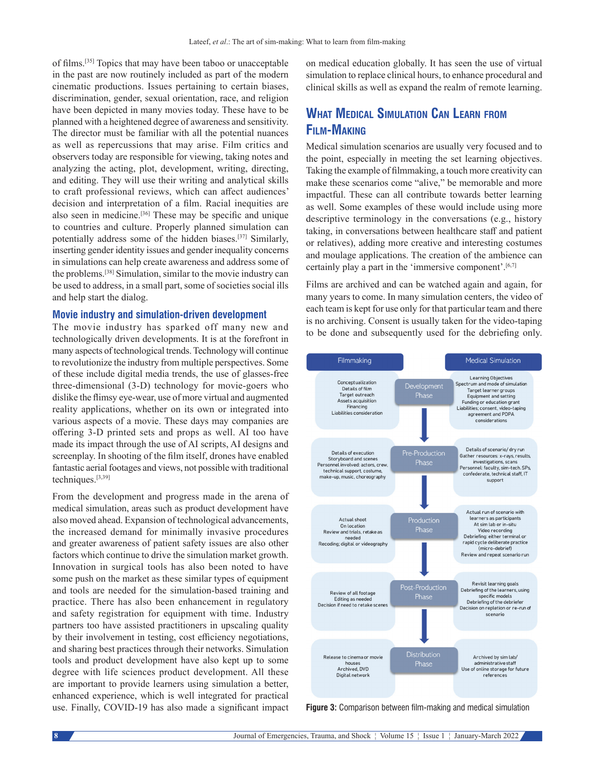of films.[35] Topics that may have been taboo or unacceptable in the past are now routinely included as part of the modern cinematic productions. Issues pertaining to certain biases, discrimination, gender, sexual orientation, race, and religion have been depicted in many movies today. These have to be planned with a heightened degree of awareness and sensitivity. The director must be familiar with all the potential nuances as well as repercussions that may arise. Film critics and observers today are responsible for viewing, taking notes and analyzing the acting, plot, development, writing, directing, and editing. They will use their writing and analytical skills to craft professional reviews, which can affect audiences' decision and interpretation of a film. Racial inequities are also seen in medicine.<sup>[36]</sup> These may be specific and unique to countries and culture. Properly planned simulation can potentially address some of the hidden biases.[37] Similarly, inserting gender identity issues and gender inequality concerns in simulations can help create awareness and address some of the problems.[38] Simulation, similar to the movie industry can be used to address, in a small part, some of societies social ills and help start the dialog.

#### **Movie industry and simulation‑driven development**

The movie industry has sparked off many new and technologically driven developments. It is at the forefront in many aspects of technological trends. Technology will continue to revolutionize the industry from multiple perspectives. Some of these include digital media trends, the use of glasses-free three-dimensional (3-D) technology for movie-goers who dislike the flimsy eye‑wear, use of more virtual and augmented reality applications, whether on its own or integrated into various aspects of a movie. These days may companies are offering 3‑D printed sets and props as well. AI too have made its impact through the use of AI scripts, AI designs and screenplay. In shooting of the film itself, drones have enabled fantastic aerial footages and views, not possible with traditional techniques.[3,39]

From the development and progress made in the arena of medical simulation, areas such as product development have also moved ahead. Expansion of technological advancements, the increased demand for minimally invasive procedures and greater awareness of patient safety issues are also other factors which continue to drive the simulation market growth. Innovation in surgical tools has also been noted to have some push on the market as these similar types of equipment and tools are needed for the simulation-based training and practice. There has also been enhancement in regulatory and safety registration for equipment with time. Industry partners too have assisted practitioners in upscaling quality by their involvement in testing, cost efficiency negotiations, and sharing best practices through their networks. Simulation tools and product development have also kept up to some degree with life sciences product development. All these are important to provide learners using simulation a better, enhanced experience, which is well integrated for practical use. Finally, COVID-19 has also made a significant impact

on medical education globally. It has seen the use of virtual simulation to replace clinical hours, to enhance procedural and clinical skills as well as expand the realm of remote learning.

# **What Medical Simulation Can Learn from Film‑Making**

Medical simulation scenarios are usually very focused and to the point, especially in meeting the set learning objectives. Taking the example of filmmaking, a touch more creativity can make these scenarios come "alive," be memorable and more impactful. These can all contribute towards better learning as well. Some examples of these would include using more descriptive terminology in the conversations (e.g., history taking, in conversations between healthcare staff and patient or relatives), adding more creative and interesting costumes and moulage applications. The creation of the ambience can certainly play a part in the 'immersive component'.<sup>[6,7]</sup>

Films are archived and can be watched again and again, for many years to come. In many simulation centers, the video of each team is kept for use only for that particular team and there is no archiving. Consent is usually taken for the video-taping to be done and subsequently used for the debriefing only.



**Figure 3:** Comparison between film-making and medical simulation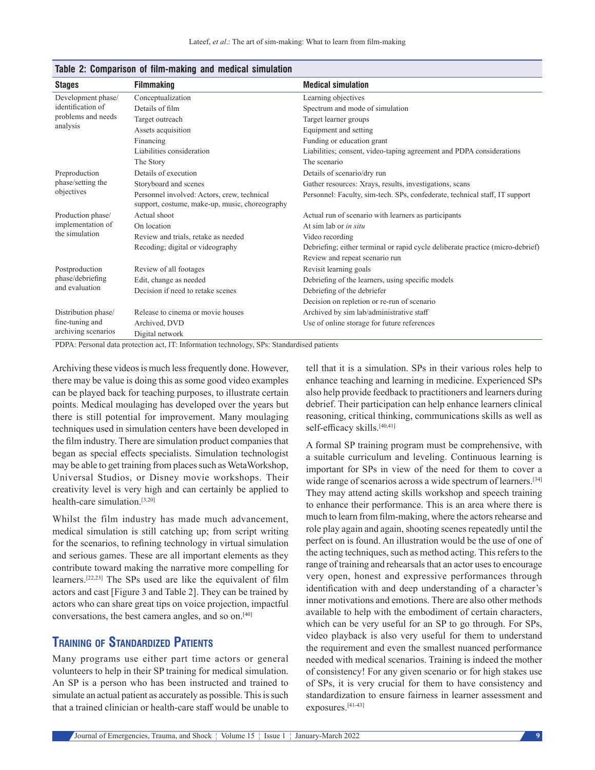| <b>Stages</b>                                                             | <b>Filmmaking</b>                                                                             | <b>Medical simulation</b>                                                      |
|---------------------------------------------------------------------------|-----------------------------------------------------------------------------------------------|--------------------------------------------------------------------------------|
| Development phase/<br>identification of<br>problems and needs<br>analysis | Conceptualization                                                                             | Learning objectives                                                            |
|                                                                           | Details of film                                                                               | Spectrum and mode of simulation                                                |
|                                                                           | Target outreach                                                                               | Target learner groups                                                          |
|                                                                           | Assets acquisition                                                                            | Equipment and setting                                                          |
|                                                                           | Financing                                                                                     | Funding or education grant                                                     |
|                                                                           | Liabilities consideration                                                                     | Liabilities; consent, video-taping agreement and PDPA considerations           |
|                                                                           | The Story                                                                                     | The scenario                                                                   |
| Preproduction<br>phase/setting the<br>objectives                          | Details of execution                                                                          | Details of scenario/dry run                                                    |
|                                                                           | Storyboard and scenes                                                                         | Gather resources: Xrays, results, investigations, scans                        |
|                                                                           | Personnel involved: Actors, crew, technical<br>support, costume, make-up, music, choreography | Personnel: Faculty, sim-tech. SPs, confederate, technical staff, IT support    |
| Production phase/<br>implementation of<br>the simulation                  | Actual shoot                                                                                  | Actual run of scenario with learners as participants                           |
|                                                                           | On location                                                                                   | At sim lab or in situ                                                          |
|                                                                           | Review and trials, retake as needed                                                           | Video recording                                                                |
|                                                                           | Recoding; digital or videography                                                              | Debriefing; either terminal or rapid cycle deliberate practice (micro-debrief) |
|                                                                           |                                                                                               | Review and repeat scenario run                                                 |
| Postproduction<br>phase/debriefing<br>and evaluation                      | Review of all footages                                                                        | Revisit learning goals                                                         |
|                                                                           | Edit, change as needed                                                                        | Debriefing of the learners, using specific models                              |
|                                                                           | Decision if need to retake scenes                                                             | Debriefing of the debriefer                                                    |
|                                                                           |                                                                                               | Decision on repletion or re-run of scenario                                    |
| Distribution phase/<br>fine-tuning and<br>archiving scenarios             | Release to cinema or movie houses                                                             | Archived by sim lab/administrative staff                                       |
|                                                                           | Archived, DVD                                                                                 | Use of online storage for future references                                    |
|                                                                           | Digital network                                                                               |                                                                                |

#### **Table 2: Comparison of film‑making and medical simulation**

PDPA: Personal data protection act, IT: Information technology, SPs: Standardised patients

Archiving these videos is much less frequently done. However, there may be value is doing this as some good video examples can be played back for teaching purposes, to illustrate certain points. Medical moulaging has developed over the years but there is still potential for improvement. Many moulaging techniques used in simulation centers have been developed in the film industry. There are simulation product companies that began as special effects specialists. Simulation technologist may be able to get training from places such as WetaWorkshop, Universal Studios, or Disney movie workshops. Their creativity level is very high and can certainly be applied to health-care simulation.[3,20]

Whilst the film industry has made much advancement, medical simulation is still catching up; from script writing for the scenarios, to refining technology in virtual simulation and serious games. These are all important elements as they contribute toward making the narrative more compelling for learners.[22,23] The SPs used are like the equivalent of film actors and cast [Figure 3 and Table 2]. They can be trained by actors who can share great tips on voice projection, impactful conversations, the best camera angles, and so on.[40]

# **Training of Standardized Patients**

Many programs use either part time actors or general volunteers to help in their SP training for medical simulation. An SP is a person who has been instructed and trained to simulate an actual patient as accurately as possible. This is such that a trained clinician or health-care staff would be unable to tell that it is a simulation. SPs in their various roles help to enhance teaching and learning in medicine. Experienced SPs also help provide feedback to practitioners and learners during debrief. Their participation can help enhance learners clinical reasoning, critical thinking, communications skills as well as self-efficacy skills.<sup>[40,41]</sup>

A formal SP training program must be comprehensive, with a suitable curriculum and leveling. Continuous learning is important for SPs in view of the need for them to cover a wide range of scenarios across a wide spectrum of learners.[34] They may attend acting skills workshop and speech training to enhance their performance. This is an area where there is much to learn from film-making, where the actors rehearse and role play again and again, shooting scenes repeatedly until the perfect on is found. An illustration would be the use of one of the acting techniques, such as method acting. This refers to the range of training and rehearsals that an actor uses to encourage very open, honest and expressive performances through identification with and deep understanding of a character's inner motivations and emotions. There are also other methods available to help with the embodiment of certain characters, which can be very useful for an SP to go through. For SPs, video playback is also very useful for them to understand the requirement and even the smallest nuanced performance needed with medical scenarios. Training is indeed the mother of consistency! For any given scenario or for high stakes use of SPs, it is very crucial for them to have consistency and standardization to ensure fairness in learner assessment and exposures.[41-43]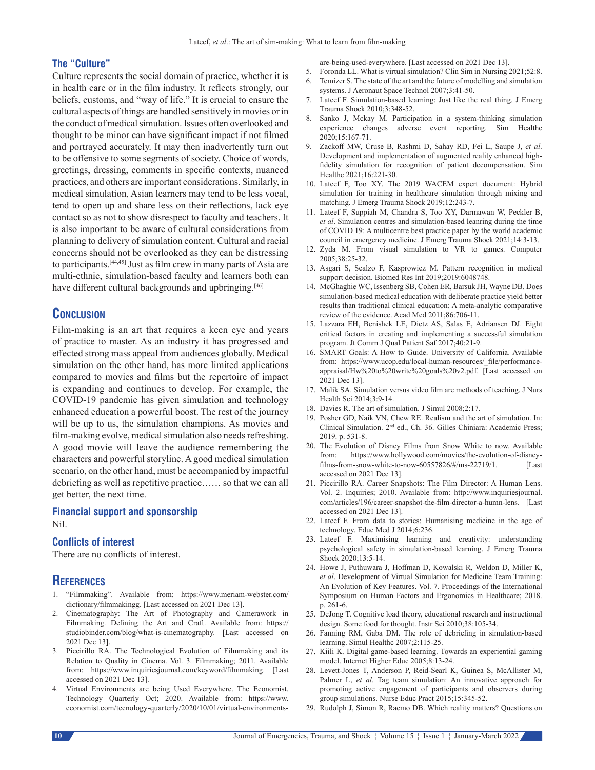#### **The "Culture"**

Culture represents the social domain of practice, whether it is in health care or in the film industry. It reflects strongly, our beliefs, customs, and "way of life." It is crucial to ensure the cultural aspects of things are handled sensitively in movies or in the conduct of medical simulation. Issues often overlooked and thought to be minor can have significant impact if not filmed and portrayed accurately. It may then inadvertently turn out to be offensive to some segments of society. Choice of words, greetings, dressing, comments in specific contexts, nuanced practices, and others are important considerations. Similarly, in medical simulation, Asian learners may tend to be less vocal, tend to open up and share less on their reflections, lack eye contact so as not to show disrespect to faculty and teachers. It is also important to be aware of cultural considerations from planning to delivery of simulation content. Cultural and racial concerns should not be overlooked as they can be distressing to participants.[44,45] Just as film crew in many parts of Asia are multi-ethnic, simulation-based faculty and learners both can have different cultural backgrounds and upbringing.<sup>[46]</sup>

### **Conclusion**

Film-making is an art that requires a keen eye and years of practice to master. As an industry it has progressed and effected strong mass appeal from audiences globally. Medical simulation on the other hand, has more limited applications compared to movies and films but the repertoire of impact is expanding and continues to develop. For example, the COVID-19 pandemic has given simulation and technology enhanced education a powerful boost. The rest of the journey will be up to us, the simulation champions. As movies and film-making evolve, medical simulation also needs refreshing. A good movie will leave the audience remembering the characters and powerful storyline. A good medical simulation scenario, on the other hand, must be accompanied by impactful debriefing as well as repetitive practice…… so that we can all get better, the next time.

# **Financial support and sponsorship**

### Nil.

#### **Conflicts of interest**

There are no conflicts of interest.

### **References**

- 1. "Filmmaking". Available from: https://www.meriam-webster.com/ dictionary/filmmakingg. [Last accessed on 2021 Dec 13].
- 2. Cinematography: The Art of Photography and Camerawork in Filmmaking. Defining the Art and Craft. Available from: https:// studiobinder.com/blog/what-is-cinematography. [Last accessed on 2021 Dec 13].
- 3. Piccirillo RA. The Technological Evolution of Filmmaking and its Relation to Quality in Cinema. Vol. 3. Filmmaking; 2011. Available from: https://www.inquiriesjournal.com/keyword/filmmaking. [Last accessed on 2021 Dec 13].
- 4. Virtual Environments are being Used Everywhere. The Economist. Technology Quarterly Oct; 2020. Available from: https://www. economist.com/tecnology-quarterly/2020/10/01/virtual-environments-

are-being-used-everywhere. [Last accessed on 2021 Dec 13].

- 5. Foronda LL. What is virtual simulation? Clin Sim in Nursing 2021;52:8.
- 6. Temizer S. The state of the art and the future of modelling and simulation systems. J Aeronaut Space Technol 2007;3:41-50.
- 7. Lateef F. Simulation-based learning: Just like the real thing. J Emerg Trauma Shock 2010;3:348-52.
- 8. Sanko J, Mckay M. Participation in a system-thinking simulation experience changes adverse event reporting. Sim Healthc 2020;15:167-71.
- 9. Zackoff MW, Cruse B, Rashmi D, Sahay RD, Fei L, Saupe J, *et al*. Development and implementation of augmented reality enhanced highfidelity simulation for recognition of patient decompensation. Sim Healthc 2021;16:221-30.
- 10. Lateef F, Too XY. The 2019 WACEM expert document: Hybrid simulation for training in healthcare simulation through mixing and matching. J Emerg Trauma Shock 2019;12:243-7.
- 11. Lateef F, Suppiah M, Chandra S, Too XY, Darmawan W, Peckler B, *et al*. Simulation centres and simulation-based leanring during the time of COVID 19: A multicentre best practice paper by the world academic council in emergency medicine. J Emerg Trauma Shock 2021;14:3-13.
- 12. Zyda M. From visual simulation to VR to games. Computer 2005;38:25-32.
- 13. Asgari S, Scalzo F, Kasprowicz M. Pattern recognition in medical support decision. Biomed Res Int 2019;2019:6048748.
- 14. McGhaghie WC, Issenberg SB, Cohen ER, Barsuk JH, Wayne DB. Does simulation-based medical education with deliberate practice yield better results than traditional clinical education: A meta-analytic comparative review of the evidence. Acad Med 2011;86:706-11.
- 15. Lazzara EH, Benishek LE, Dietz AS, Salas E, Adriansen DJ. Eight critical factors in creating and implementing a successful simulation program. Jt Comm J Qual Patient Saf 2017;40:21-9.
- 16. SMART Goals: A How to Guide. University of California. Available from: https://www.ucop.edu/local-human-resources/ file/performanceappraisal/Hw%20to%20write%20goals%20v2.pdf. [Last accessed on 2021 Dec 13].
- 17. Malik SA. Simulation versus video film are methods of teaching. J Nurs Health Sci 2014;3:9-14.
- 18. Davies R. The art of simulation. J Simul 2008;2:17.
- 19. Posher GD, Naik VN, Chew RE. Realism and the art of simulation. In: Clinical Simulation. 2nd ed., Ch. 36. Gilles Chiniara: Academic Press; 2019. p. 531-8.
- 20. The Evolution of Disney Films from Snow White to now. Available from: https://www.hollywood.com/movies/the-evolution-of-disneyfilms-from-snow-white-to-now-60557826/#/ms-22719/1. [Last accessed on 2021 Dec 13].
- 21. Piccirillo RA. Career Snapshots: The Film Director: A Human Lens. Vol. 2. Inquiries; 2010. Available from: http://www.inquiriesjournal. com/articles/196/career-snapshot-the-film-director-a-humn-lens. [Last accessed on 2021 Dec 13].
- 22. Lateef F. From data to stories: Humanising medicine in the age of technology. Educ Med J 2014;6:236.
- 23. Lateef F. Maximising learning and creativity: understanding psychological safety in simulation-based learning. J Emerg Trauma Shock 2020;13:5-14.
- 24. Howe J, Puthuwara J, Hoffman D, Kowalski R, Weldon D, Miller K, *et al*. Development of Virtual Simulation for Medicine Team Training: An Evolution of Key Features. Vol. 7. Proceedings of the International Symposium on Human Factors and Ergonomics in Healthcare; 2018. p. 261-6.
- 25. DeJong T. Cognitive load theory, educational research and instructional design. Some food for thought. Instr Sci 2010;38:105-34.
- 26. Fanning RM, Gaba DM. The role of debriefing in simulation-based learning. Simul Healthc 2007;2:115-25.
- 27. Kiili K. Digital game-based learning. Towards an experiential gaming model. Internet Higher Educ 2005;8:13-24.
- 28. Levett-Jones T, Anderson P, Reid-Searl K, Guinea S, McAllister M, Palmer L, *et al*. Tag team simulation: An innovative approach for promoting active engagement of participants and observers during group simulations. Nurse Educ Pract 2015;15:345-52.
- 29. Rudolph J, Simon R, Raemo DB. Which reality matters? Questions on